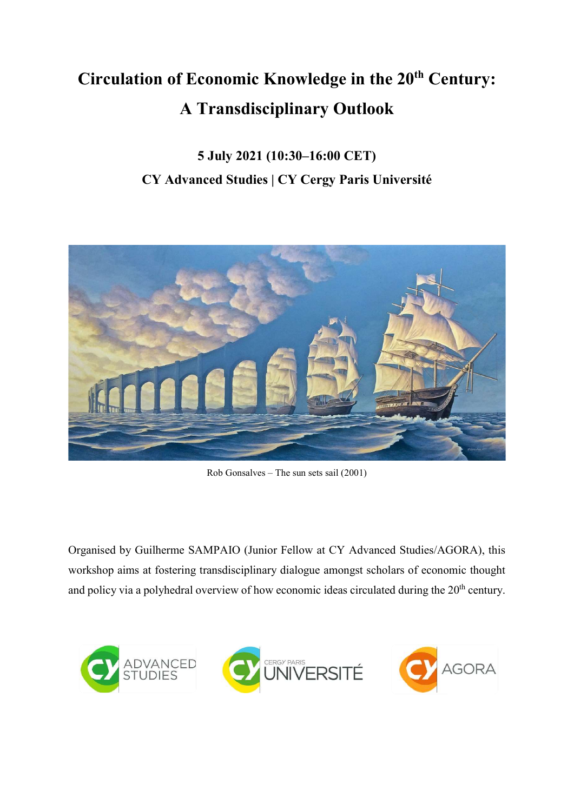## Circulation of Economic Knowledge in the 20<sup>th</sup> Century: A Transdisciplinary Outlook

## 5 July 2021 (10:30–16:00 CET) CY Advanced Studies | CY Cergy Paris Université



Rob Gonsalves – The sun sets sail (2001)

Organised by Guilherme SAMPAIO (Junior Fellow at CY Advanced Studies/AGORA), this workshop aims at fostering transdisciplinary dialogue amongst scholars of economic thought and policy via a polyhedral overview of how economic ideas circulated during the 20<sup>th</sup> century.

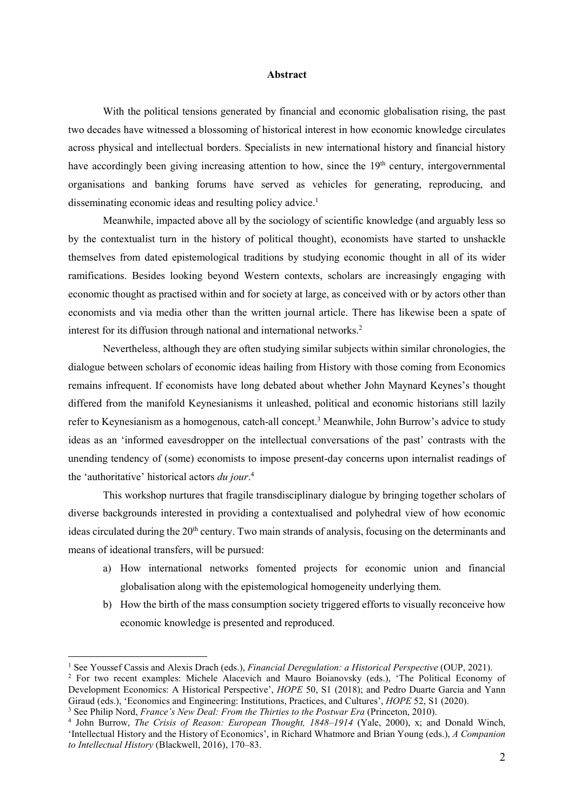## Abstract

With the political tensions generated by financial and economic globalisation rising, the past two decades have witnessed a blossoming of historical interest in how economic knowledge circulates across physical and intellectual borders. Specialists in new international history and financial history have accordingly been giving increasing attention to how, since the  $19<sup>th</sup>$  century, intergovernmental organisations and banking forums have served as vehicles for generating, reproducing, and disseminating economic ideas and resulting policy advice.<sup>1</sup>

Meanwhile, impacted above all by the sociology of scientific knowledge (and arguably less so by the contextualist turn in the history of political thought), economists have started to unshackle themselves from dated epistemological traditions by studying economic thought in all of its wider ramifications. Besides looking beyond Western contexts, scholars are increasingly engaging with economic thought as practised within and for society at large, as conceived with or by actors other than economists and via media other than the written journal article. There has likewise been a spate of interest for its diffusion through national and international networks.<sup>2</sup>

Nevertheless, although they are often studying similar subjects within similar chronologies, the dialogue between scholars of economic ideas hailing from History with those coming from Economics remains infrequent. If economists have long debated about whether John Maynard Keynes's thought differed from the manifold Keynesianisms it unleashed, political and economic historians still lazily refer to Keynesianism as a homogenous, catch-all concept.<sup>3</sup> Meanwhile, John Burrow's advice to study ideas as an 'informed eavesdropper on the intellectual conversations of the past' contrasts with the unending tendency of (some) economists to impose present-day concerns upon internalist readings of the 'authoritative' historical actors *du jour*.<sup>4</sup>

This workshop nurtures that fragile transdisciplinary dialogue by bringing together scholars of diverse backgrounds interested in providing a contextualised and polyhedral view of how economic ideas circulated during the 20<sup>th</sup> century. Two main strands of analysis, focusing on the determinants and means of ideational transfers, will be pursued:

- a) How international networks fomented projects for economic union and financial globalisation along with the epistemological homogeneity underlying them.
- b) How the birth of the mass consumption society triggered efforts to visually reconceive how economic knowledge is presented and reproduced.

 $\overline{a}$ 

<sup>&</sup>lt;sup>1</sup> See Youssef Cassis and Alexis Drach (eds.), *Financial Deregulation: a Historical Perspective* (OUP, 2021).

<sup>&</sup>lt;sup>2</sup> For two recent examples: Michele Alacevich and Mauro Boianovsky (eds.), 'The Political Economy of Development Economics: A Historical Perspective', HOPE 50, S1 (2018); and Pedro Duarte Garcia and Yann Giraud (eds.), 'Economics and Engineering: Institutions, Practices, and Cultures', *HOPE* 52, S1 (2020).

 $3$  See Philip Nord, France's New Deal: From the Thirties to the Postwar Era (Princeton, 2010).

<sup>&</sup>lt;sup>4</sup> John Burrow, *The Crisis of Reason: European Thought, 1848–1914* (Yale, 2000), x; and Donald Winch, 'Intellectual History and the History of Economics', in Richard Whatmore and Brian Young (eds.), A Companion to Intellectual History (Blackwell, 2016), 170–83.